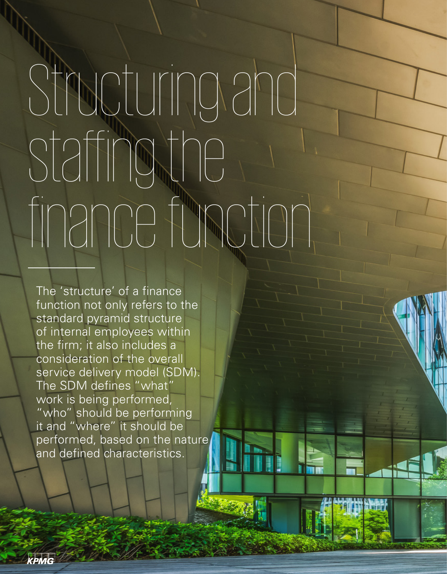## Structuring and staffing the finance function

The 'structure' of a finance function not only refers to the standard pyramid structure of internal employees within the firm; it also includes a consideration of the overall service delivery model (SDM). The SDM defines "what" work is being performed, "who" should be performing it and "where" it should be performed, based on the nature and defined characteristics.